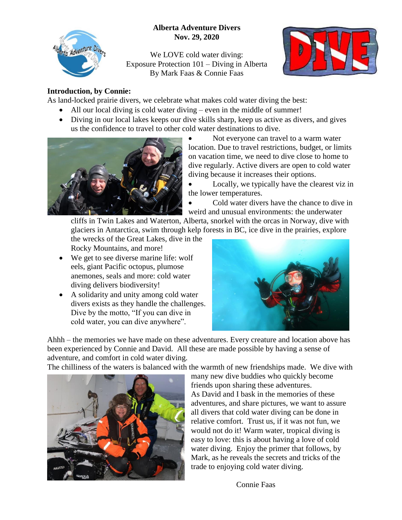## **Alberta Adventure Divers Nov. 29, 2020**



We LOVE cold water diving: Exposure Protection 101 – Diving in Alberta By Mark Faas & Connie Faas



#### **Introduction, by Connie:**

As land-locked prairie divers, we celebrate what makes cold water diving the best:

- All our local diving is cold water diving even in the middle of summer!
- Diving in our local lakes keeps our dive skills sharp, keep us active as divers, and gives us the confidence to travel to other cold water destinations to dive.



 Not everyone can travel to a warm water location. Due to travel restrictions, budget, or limits on vacation time, we need to dive close to home to dive regularly. Active divers are open to cold water diving because it increases their options.

 Locally, we typically have the clearest viz in the lower temperatures.

 Cold water divers have the chance to dive in weird and unusual environments: the underwater

cliffs in Twin Lakes and Waterton, Alberta, snorkel with the orcas in Norway, dive with glaciers in Antarctica, swim through kelp forests in BC, ice dive in the prairies, explore

the wrecks of the Great Lakes, dive in the Rocky Mountains, and more!

- We get to see diverse marine life: wolf eels, giant Pacific octopus, plumose anemones, seals and more: cold water diving delivers biodiversity!
- A solidarity and unity among cold water divers exists as they handle the challenges. Dive by the motto, "If you can dive in cold water, you can dive anywhere".



Ahhh – the memories we have made on these adventures. Every creature and location above has been experienced by Connie and David. All these are made possible by having a sense of adventure, and comfort in cold water diving.

The chilliness of the waters is balanced with the warmth of new friendships made. We dive with



many new dive buddies who quickly become friends upon sharing these adventures. As David and I bask in the memories of these adventures, and share pictures, we want to assure all divers that cold water diving can be done in relative comfort. Trust us, if it was not fun, we would not do it! Warm water, tropical diving is easy to love: this is about having a love of cold water diving. Enjoy the primer that follows, by Mark, as he reveals the secrets and tricks of the trade to enjoying cold water diving.

Connie Faas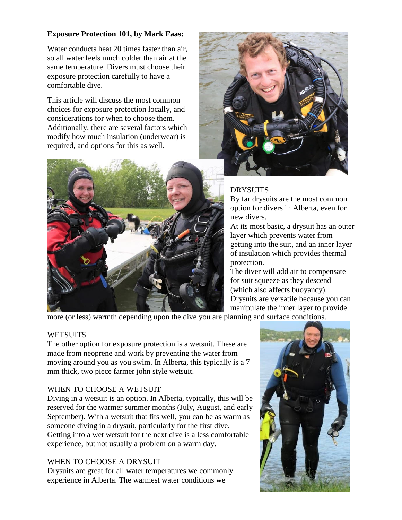### **Exposure Protection 101, by Mark Faas:**

Water conducts heat 20 times faster than air, so all water feels much colder than air at the same temperature. Divers must choose their exposure protection carefully to have a comfortable dive.

This article will discuss the most common choices for exposure protection locally, and considerations for when to choose them. Additionally, there are several factors which modify how much insulation (underwear) is required, and options for this as well.





# DRYSUITS

By far drysuits are the most common option for divers in Alberta, even for new divers.

At its most basic, a drysuit has an outer layer which prevents water from getting into the suit, and an inner layer of insulation which provides thermal protection.

The diver will add air to compensate for suit squeeze as they descend (which also affects buoyancy). Drysuits are versatile because you can manipulate the inner layer to provide

more (or less) warmth depending upon the dive you are planning and surface conditions.

### **WETSUITS**

The other option for exposure protection is a wetsuit. These are made from neoprene and work by preventing the water from moving around you as you swim. In Alberta, this typically is a 7 mm thick, two piece farmer john style wetsuit.

### WHEN TO CHOOSE A WETSUIT

Diving in a wetsuit is an option. In Alberta, typically, this will be reserved for the warmer summer months (July, August, and early September). With a wetsuit that fits well, you can be as warm as someone diving in a drysuit, particularly for the first dive. Getting into a wet wetsuit for the next dive is a less comfortable experience, but not usually a problem on a warm day.

### WHEN TO CHOOSE A DRYSUIT

Drysuits are great for all water temperatures we commonly experience in Alberta. The warmest water conditions we

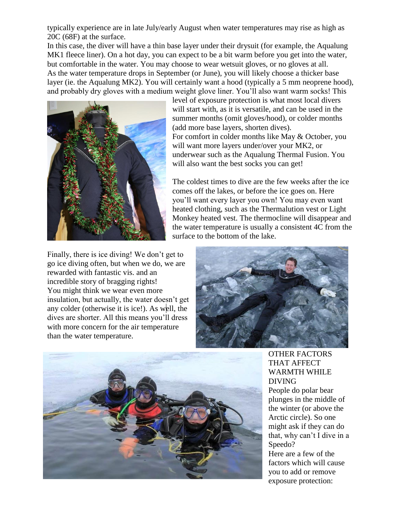typically experience are in late July/early August when water temperatures may rise as high as 20C (68F) at the surface.

In this case, the diver will have a thin base layer under their drysuit (for example, the Aqualung MK1 fleece liner). On a hot day, you can expect to be a bit warm before you get into the water, but comfortable in the water. You may choose to wear wetsuit gloves, or no gloves at all. As the water temperature drops in September (or June), you will likely choose a thicker base layer (ie. the Aqualung MK2). You will certainly want a hood (typically a 5 mm neoprene hood), and probably dry gloves with a medium weight glove liner. You'll also want warm socks! This



level of exposure protection is what most local divers will start with, as it is versatile, and can be used in the summer months (omit gloves/hood), or colder months (add more base layers, shorten dives). For comfort in colder months like May & October, you will want more layers under/over your MK2, or underwear such as the Aqualung Thermal Fusion. You will also want the best socks you can get!

The coldest times to dive are the few weeks after the ice comes off the lakes, or before the ice goes on. Here you'll want every layer you own! You may even want heated clothing, such as the Thermalution vest or Light Monkey heated vest. The thermocline will disappear and the water temperature is usually a consistent 4C from the surface to the bottom of the lake.

Finally, there is ice diving! We don't get to go ice diving often, but when we do, we are rewarded with fantastic vis. and an incredible story of bragging rights! You might think we wear even more insulation, but actually, the water doesn't get any colder (otherwise it is ice!). As well, the dives are shorter. All this means you'll dress with more concern for the air temperature than the water temperature.





OTHER FACTORS THAT AFFECT WARMTH WHILE DIVING People do polar bear plunges in the middle of the winter (or above the Arctic circle). So one might ask if they can do that, why can't I dive in a Speedo? Here are a few of the factors which will cause you to add or remove

exposure protection: